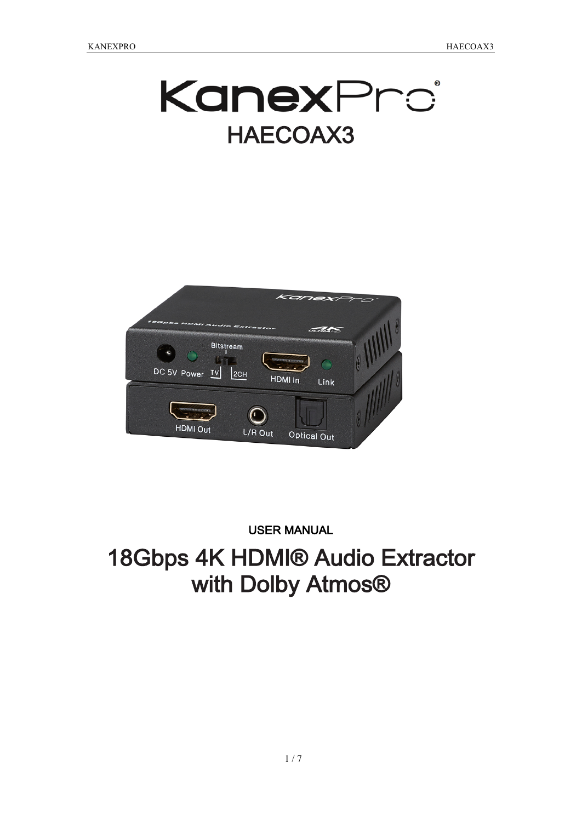KanexPro HAECOAX3



#### USER MANUAL

# 18Gbps 4K HDMI® Audio Extractor with Dolby Atmos<sup>®</sup>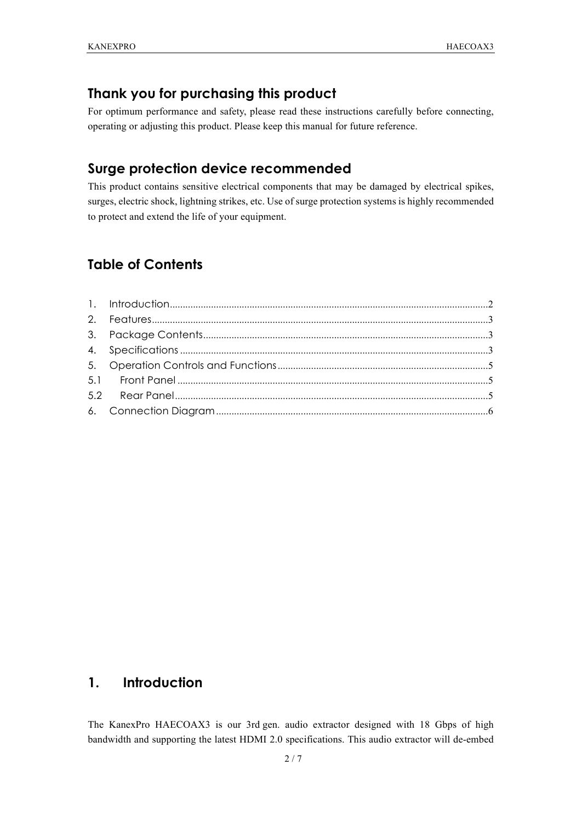#### **Thank you for purchasing this product**

For optimum performance and safety, please read these instructions carefully before connecting, operating or adjusting this product. Please keep this manual for future reference.

# **Surge protection device recommended**

This product contains sensitive electrical components that may be damaged by electrical spikes, surges, electric shock, lightning strikes, etc. Use of surge protection systems is highly recommended to protect and extend the life of your equipment.

### **Table of Contents**

### **1. Introduction**

The KanexPro HAECOAX3 is our 3rd gen. audio extractor designed with 18 Gbps of high bandwidth and supporting the latest HDMI 2.0 specifications. This audio extractor will de-embed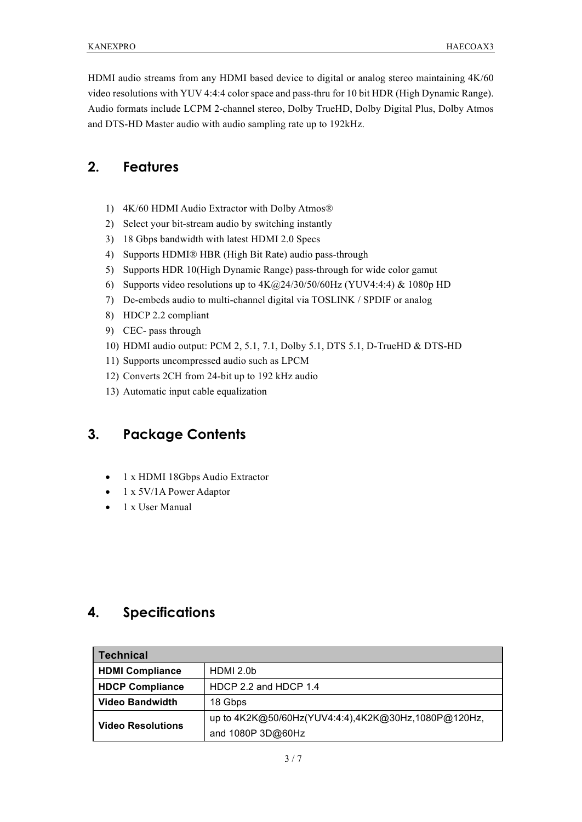HDMI audio streams from any HDMI based device to digital or analog stereo maintaining 4K/60 video resolutions with YUV 4:4:4 color space and pass-thru for 10 bit HDR (High Dynamic Range). Audio formats include LCPM 2-channel stereo, Dolby TrueHD, Dolby Digital Plus, Dolby Atmos and DTS-HD Master audio with audio sampling rate up to 192kHz.

### **2. Features**

- 1) 4K/60 HDMI Audio Extractor with Dolby Atmos®
- 2) Select your bit-stream audio by switching instantly
- 3) 18 Gbps bandwidth with latest HDMI 2.0 Specs
- 4) Supports HDMI® HBR (High Bit Rate) audio pass-through
- 5) Supports HDR 10(High Dynamic Range) pass-through for wide color gamut
- 6) Supports video resolutions up to 4K@24/30/50/60Hz (YUV4:4:4) & 1080p HD
- 7) De-embeds audio to multi-channel digital via TOSLINK / SPDIF or analog
- 8) HDCP 2.2 compliant
- 9) CEC- pass through
- 10) HDMI audio output: PCM 2, 5.1, 7.1, Dolby 5.1, DTS 5.1, D-TrueHD & DTS-HD
- 11) Supports uncompressed audio such as LPCM
- 12) Converts 2CH from 24-bit up to 192 kHz audio
- 13) Automatic input cable equalization

# **3. Package Contents**

- 1 x HDMI 18Gbps Audio Extractor
- 1 x 5V/1A Power Adaptor
- 1 x User Manual

### **4. Specifications**

| <b>Technical</b>         |                                                                          |  |  |  |
|--------------------------|--------------------------------------------------------------------------|--|--|--|
| <b>HDMI Compliance</b>   | HDMI 2.0b                                                                |  |  |  |
| <b>HDCP Compliance</b>   | HDCP 2.2 and HDCP 1.4                                                    |  |  |  |
| <b>Video Bandwidth</b>   | 18 Gbps                                                                  |  |  |  |
| <b>Video Resolutions</b> | up to 4K2K@50/60Hz(YUV4:4:4),4K2K@30Hz,1080P@120Hz,<br>and 1080P 3D@60Hz |  |  |  |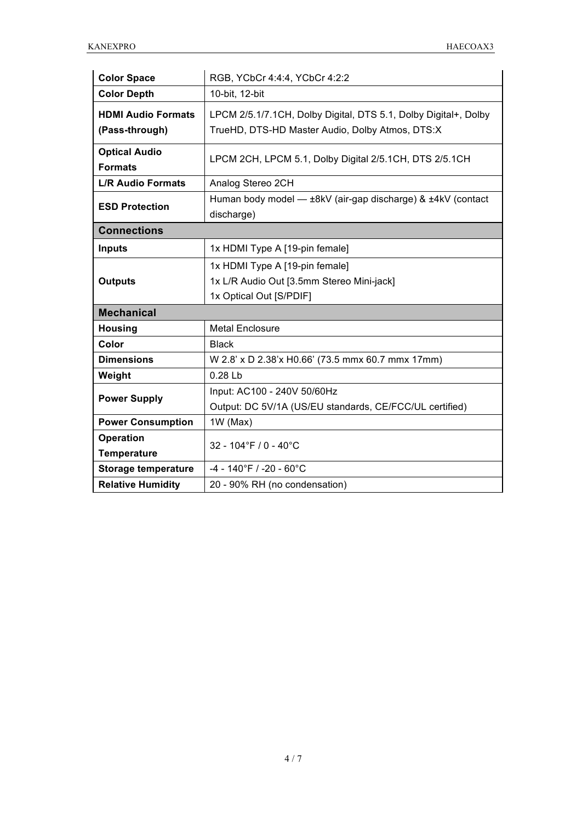| <b>Color Space</b>                          | RGB, YCbCr 4:4:4, YCbCr 4:2:2                                                                                      |  |  |  |
|---------------------------------------------|--------------------------------------------------------------------------------------------------------------------|--|--|--|
| <b>Color Depth</b>                          | 10-bit, 12-bit                                                                                                     |  |  |  |
| <b>HDMI Audio Formats</b><br>(Pass-through) | LPCM 2/5.1/7.1CH, Dolby Digital, DTS 5.1, Dolby Digital+, Dolby<br>TrueHD, DTS-HD Master Audio, Dolby Atmos, DTS:X |  |  |  |
| <b>Optical Audio</b><br><b>Formats</b>      | LPCM 2CH, LPCM 5.1, Dolby Digital 2/5.1CH, DTS 2/5.1CH                                                             |  |  |  |
| <b>L/R Audio Formats</b>                    | Analog Stereo 2CH                                                                                                  |  |  |  |
| <b>ESD Protection</b>                       | Human body model - ±8kV (air-gap discharge) & ±4kV (contact<br>discharge)                                          |  |  |  |
| <b>Connections</b>                          |                                                                                                                    |  |  |  |
| <b>Inputs</b>                               | 1x HDMI Type A [19-pin female]                                                                                     |  |  |  |
| <b>Outputs</b>                              | 1x HDMI Type A [19-pin female]<br>1x L/R Audio Out [3.5mm Stereo Mini-jack]<br>1x Optical Out [S/PDIF]             |  |  |  |
| <b>Mechanical</b>                           |                                                                                                                    |  |  |  |
| <b>Housing</b>                              | <b>Metal Enclosure</b>                                                                                             |  |  |  |
| Color                                       | <b>Black</b>                                                                                                       |  |  |  |
| <b>Dimensions</b>                           | W 2.8' x D 2.38'x H0.66' (73.5 mmx 60.7 mmx 17mm)                                                                  |  |  |  |
| Weight                                      | 0.28L                                                                                                              |  |  |  |
| <b>Power Supply</b>                         | Input: AC100 - 240V 50/60Hz                                                                                        |  |  |  |
|                                             | Output: DC 5V/1A (US/EU standards, CE/FCC/UL certified)                                                            |  |  |  |
| <b>Power Consumption</b>                    | 1W (Max)                                                                                                           |  |  |  |
| <b>Operation</b>                            | 32 - 104°F / 0 - 40°C                                                                                              |  |  |  |
| <b>Temperature</b>                          |                                                                                                                    |  |  |  |
| <b>Storage temperature</b>                  | $-4 - 140$ °F / $-20 - 60$ °C                                                                                      |  |  |  |
| <b>Relative Humidity</b>                    | 20 - 90% RH (no condensation)                                                                                      |  |  |  |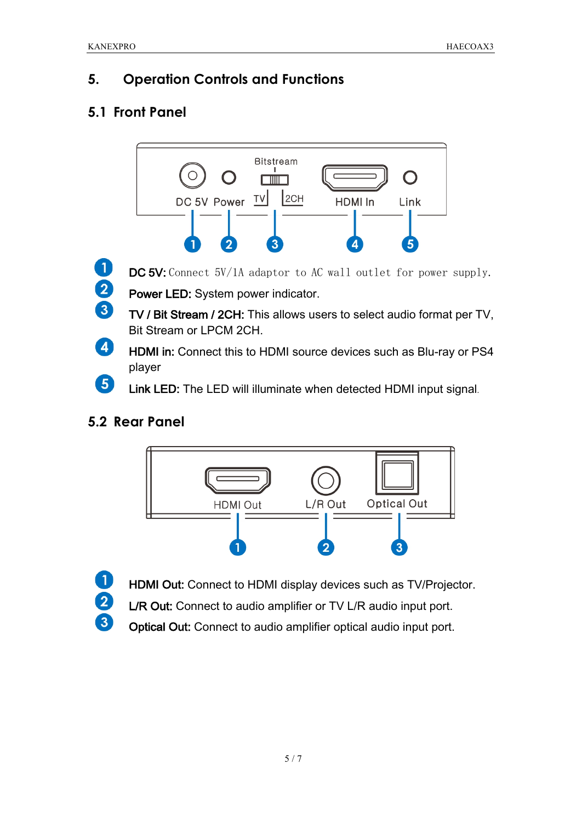# **5. Operation Controls and Functions**

# **5.1 Front Panel**



# **5.2 Rear Panel**

 $\blacksquare$ 

2

 $\boxed{3}$ 



- HDMI Out: Connect to HDMI display devices such as TV/Projector.
- L/R Out: Connect to audio amplifier or TV L/R audio input port.
- Optical Out: Connect to audio amplifier optical audio input port.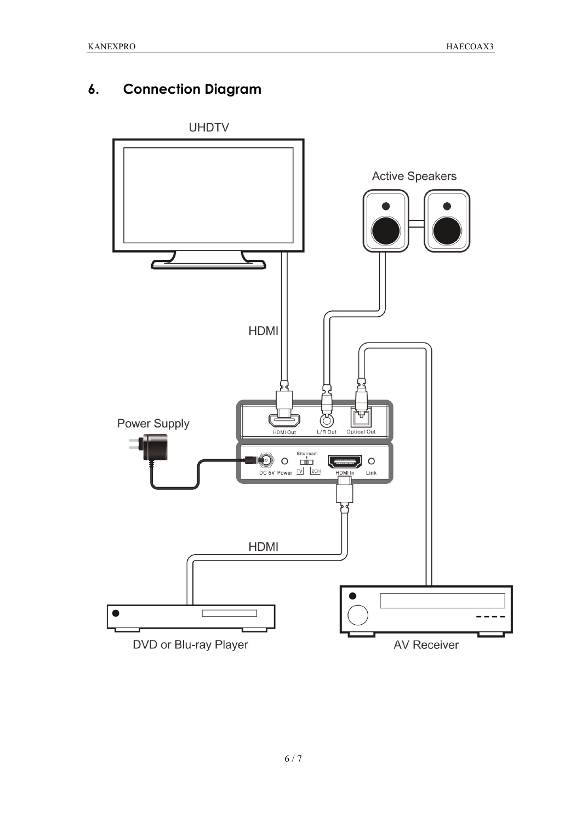# **6. Connection Diagram**